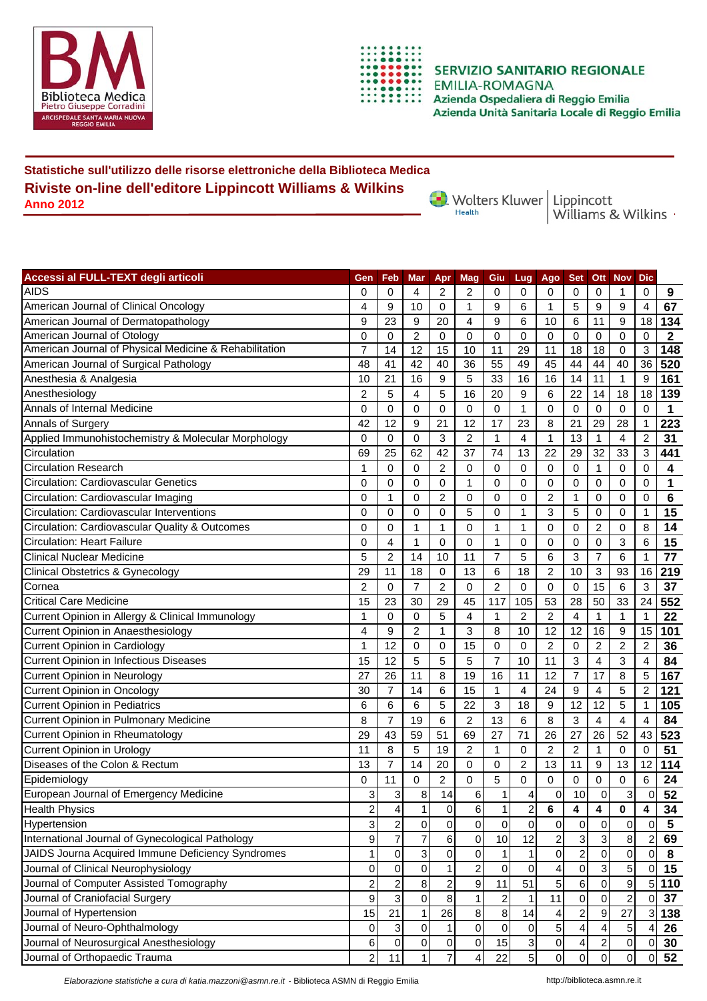



**SERVIZIO SANITARIO REGIONALE EMILIA-ROMAGNA** Azienda Ospedaliera di Reggio Emilia Azienda Unità Sanitaria Locale di Reggio Emilia

## **Statistiche sull'utilizzo delle risorse elettroniche della Biblioteca Medica Riviste on-line dell'editore Lippincott Williams & Wilkins Anno 2012**

Wolters Kluwer Lippincott<br>Williams & Wilkins

| Accessi al FULL-TEXT degli articoli                    | Gen                     | Feb              | <b>Mar</b>     | Apr              | Mag            | Giu                     | Lug            | Ago            | <b>Set</b>              | <b>Ott</b>     | <b>Nov</b>     | <b>Dic</b>     |                         |
|--------------------------------------------------------|-------------------------|------------------|----------------|------------------|----------------|-------------------------|----------------|----------------|-------------------------|----------------|----------------|----------------|-------------------------|
| <b>AIDS</b>                                            | 0                       | 0                | 4              | 2                | 2              | 0                       | 0              | 0              | 0                       | 0              | 1              | 0              | 9                       |
| American Journal of Clinical Oncology                  | 4                       | 9                | 10             | 0                | 1              | 9                       | 6              | 1              | 5                       | 9              | 9              | $\overline{4}$ | 67                      |
| American Journal of Dermatopathology                   | 9                       | 23               | 9              | 20               | 4              | 9                       | 6              | 10             | 6                       | 11             | 9              | 18             | 134                     |
| American Journal of Otology                            | 0                       | 0                | $\overline{c}$ | 0                | 0              | 0                       | 0              | 0              | 0                       | 0              | 0              | $\mathbf 0$    | $\overline{\mathbf{2}}$ |
| American Journal of Physical Medicine & Rehabilitation | 7                       | 14               | 12             | 15               | 10             | 11                      | 29             | 11             | 18                      | 18             | 0              | 3              | 148                     |
| American Journal of Surgical Pathology                 | 48                      | 41               | 42             | 40               | 36             | 55                      | 49             | 45             | 44                      | 44             | 40             | 36             | 520                     |
| Anesthesia & Analgesia                                 | 10                      | 21               | 16             | 9                | 5              | 33                      | 16             | 16             | 14                      | 11             | 1              | 9              | 161                     |
| Anesthesiology                                         | $\overline{c}$          | 5                | 4              | 5                | 16             | 20                      | 9              | 6              | 22                      | 14             | 18             | 18             | 139                     |
| Annals of Internal Medicine                            | 0                       | 0                | 0              | 0                | 0              | 0                       | 1              | 0              | 0                       | $\mathbf 0$    | 0              | 0              | 1                       |
| Annals of Surgery                                      | 42                      | 12               | 9              | 21               | 12             | 17                      | 23             | 8              | 21                      | 29             | 28             | $\mathbf{1}$   | 223                     |
| Applied Immunohistochemistry & Molecular Morphology    | 0                       | 0                | 0              | 3                | $\overline{c}$ | 1                       | $\overline{4}$ | 1              | 13                      | $\mathbf{1}$   | 4              | $\overline{2}$ | 31                      |
| Circulation                                            | 69                      | 25               | 62             | 42               | 37             | 74                      | 13             | 22             | 29                      | 32             | 33             | 3              | 441                     |
| <b>Circulation Research</b>                            | 1                       | $\mathbf 0$      | 0              | $\overline{c}$   | $\mathbf 0$    | 0                       | $\mathbf 0$    | $\mathbf 0$    | 0                       | $\mathbf{1}$   | 0              | 0              | 4                       |
| Circulation: Cardiovascular Genetics                   | 0                       | 0                | 0              | 0                | 1              | 0                       | $\mathbf 0$    | 0              | 0                       | $\mathbf 0$    | 0              | 0              | 1                       |
| Circulation: Cardiovascular Imaging                    | 0                       | 1                | 0              | $\overline{2}$   | 0              | 0                       | $\Omega$       | $\overline{2}$ | 1                       | $\Omega$       | 0              | 0              | 6                       |
| Circulation: Cardiovascular Interventions              | 0                       | 0                | 0              | 0                | 5              | 0                       | 1              | 3              | 5                       | 0              | 0              | $\mathbf{1}$   | 15                      |
| Circulation: Cardiovascular Quality & Outcomes         | 0                       | 0                | 1              | 1                | 0              | 1                       | $\mathbf{1}$   | $\Omega$       | 0                       | $\overline{c}$ | 0              | 8              | 14                      |
| <b>Circulation: Heart Failure</b>                      | 0                       | 4                | 1              | 0                | 0              | 1                       | 0              | 0              | 0                       | 0              | 3              | 6              | 15                      |
| <b>Clinical Nuclear Medicine</b>                       | 5                       | $\overline{2}$   | 14             | 10               | 11             | 7                       | 5              | 6              | 3                       | $\overline{7}$ | 6              | 1              | 77                      |
| <b>Clinical Obstetrics &amp; Gynecology</b>            | 29                      | 11               | 18             | 0                | 13             | 6                       | 18             | $\overline{2}$ | 10                      | 3              | 93             | 16             | 219                     |
| Cornea                                                 | $\overline{2}$          | 0                | 7              | $\overline{2}$   | 0              | 2                       | $\Omega$       | 0              | 0                       | 15             | 6              | 3              | 37                      |
| <b>Critical Care Medicine</b>                          | 15                      | 23               | 30             | 29               | 45             | 117                     | 105            | 53             | 28                      | 50             | 33             | 24             | 552                     |
| Current Opinion in Allergy & Clinical Immunology       | 1                       | 0                | 0              | 5                | 4              | 1                       | $\overline{2}$ | $\overline{2}$ | 4                       | $\mathbf{1}$   | 1              | $\overline{1}$ | 22                      |
| Current Opinion in Anaesthesiology                     | 4                       | 9                | $\overline{2}$ | 1                | 3              | 8                       | 10             | 12             | 12                      | 16             | 9              | 15             | 101                     |
| <b>Current Opinion in Cardiology</b>                   | 1                       | 12               | 0              | 0                | 15             | 0                       | $\mathbf 0$    | $\overline{c}$ | 0                       | $\overline{c}$ | $\overline{c}$ | $\overline{2}$ | 36                      |
| Current Opinion in Infectious Diseases                 | 15                      | 12               | 5              | 5                | 5              | $\overline{7}$          | 10             | 11             | 3                       | 4              | 3              | $\overline{4}$ | 84                      |
| Current Opinion in Neurology                           | 27                      | 26               | 11             | 8                | 19             | 16                      | 11             | 12             | $\overline{7}$          | 17             | 8              | 5              | 167                     |
| <b>Current Opinion in Oncology</b>                     | 30                      | $\overline{7}$   | 14             | 6                | 15             | $\mathbf{1}$            | 4              | 24             | 9                       | 4              | 5              | $\overline{2}$ | 121                     |
| <b>Current Opinion in Pediatrics</b>                   | 6                       | 6                | 6              | 5                | 22             | 3                       | 18             | 9              | 12                      | 12             | 5              | $\mathbf{1}$   | 105                     |
| Current Opinion in Pulmonary Medicine                  | 8                       | $\overline{7}$   | 19             | 6                | 2              | 13                      | 6              | 8              | 3                       | 4              | 4              | $\overline{4}$ | 84                      |
| Current Opinion in Rheumatology                        | 29                      | 43               | 59             | 51               | 69             | 27                      | 71             | 26             | 27                      | 26             | 52             | 43             | 523                     |
| <b>Current Opinion in Urology</b>                      | 11                      | 8                | 5              | 19               | 2              | 1                       | $\mathbf 0$    | $\overline{c}$ | $\overline{c}$          | 1              | 0              | 0              | 51                      |
| Diseases of the Colon & Rectum                         | 13                      | 7                | 14             | 20               | 0              | 0                       | $\overline{2}$ | 13             | 11                      | 9              | 13             | 12             | 114                     |
| Epidemiology                                           | 0                       | 11               | 0              | 2                | 0              | 5                       | 0              | 0              | 0                       | 0              | 0              | 6              | 24                      |
| European Journal of Emergency Medicine                 | 3                       | 3                | 8              | 14               | 6              | $\mathbf{1}$            | 4              | $\Omega$       | 10                      | $\Omega$       | 3              | $\Omega$       | 52                      |
| <b>Health Physics</b>                                  | $\overline{c}$          | 4                | $\mathbf{1}$   | $\boldsymbol{0}$ | 6              | $\mathbf{1}$            | $\overline{c}$ | 6              | 4                       | 4              | 0              | 4              | 34                      |
| Hypertension                                           | 3                       | $\boldsymbol{2}$ | $\pmb{0}$      | $\mathbf 0$      | 0              | $\mathsf 0$             | 0              | $\pmb{0}$      | $\pmb{0}$               | 0              | 0              | 0              | $5\phantom{1}$          |
| International Journal of Gynecological Pathology       | $\boldsymbol{9}$        | $\overline{7}$   | $\overline{7}$ | 6                | 0              | 10                      | 12             | $\overline{c}$ | 3                       | 3              | 8 <sup>1</sup> | $\overline{2}$ | 69                      |
| JAIDS Journa Acquired Immune Deficiency Syndromes      | 1                       | $\overline{0}$   | 3              | 0                | 0              | 1                       |                | 0              | $\overline{c}$          | 0              | $\overline{0}$ | $\mathbf 0$    | 8                       |
| Journal of Clinical Neurophysiology                    | 0                       | $\mathbf 0$      | 0              | 1                | 2              | $\Omega$                | 0              | 4              | 0                       | 3              | 5              | $\overline{0}$ | 15                      |
| Journal of Computer Assisted Tomography                | $\overline{\mathbf{c}}$ | 2                | 8              | $\overline{c}$   | 9              | 11                      | 51             | 5              | 6                       | 0              | 9              | 5 <sub>5</sub> | 110                     |
| Journal of Craniofacial Surgery                        | 9                       | 3                | $\mathsf 0$    | $\,8\,$          |                | $\overline{\mathbf{c}}$ | 1              | 11             | $\pmb{0}$               | 0              | $\overline{c}$ | $\Omega$       | 37                      |
| Journal of Hypertension                                | 15                      | 21               | 1              | 26               | 8              | 8                       | 14             | 4              | $\overline{\mathbf{c}}$ | 9              | 27             | 3 <sub>l</sub> | 138                     |
| Journal of Neuro-Ophthalmology                         | 0                       | $\mathbf{3}$     | 0              | 1                | 0              | 0                       | $\pmb{0}$      | 5              | 4                       |                | 5              | 4              | 26                      |
| Journal of Neurosurgical Anesthesiology                | 6                       | $\overline{0}$   | 0              | 0                | 0              | 15                      | 3              | 0              | 4                       | 2              | $\overline{0}$ | 0              | 30                      |
| Journal of Orthopaedic Trauma                          | $\boldsymbol{2}$        | 11               | $\mathbf{1}$   | 7                | 4              | 22                      | 5 <sup>1</sup> | $\overline{0}$ | $\mathbf 0$             | $\overline{0}$ | $\overline{0}$ | $\overline{0}$ | 52                      |

*Elaborazione statistiche a cura di katia.mazzoni@asmn.re.it* - Biblioteca ASMN di Reggio Emilia http://biblioteca.asmn.re.it